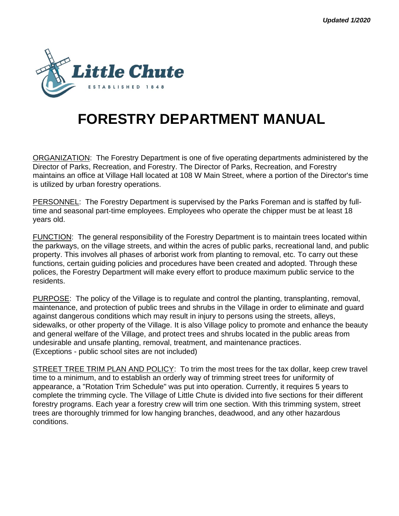

# **FORESTRY DEPARTMENT MANUAL**

ORGANIZATION: The Forestry Department is one of five operating departments administered by the Director of Parks, Recreation, and Forestry. The Director of Parks, Recreation, and Forestry maintains an office at Village Hall located at 108 W Main Street, where a portion of the Director's time is utilized by urban forestry operations.

PERSONNEL: The Forestry Department is supervised by the Parks Foreman and is staffed by fulltime and seasonal part-time employees. Employees who operate the chipper must be at least 18 years old.

FUNCTION: The general responsibility of the Forestry Department is to maintain trees located within the parkways, on the village streets, and within the acres of public parks, recreational land, and public property. This involves all phases of arborist work from planting to removal, etc. To carry out these functions, certain guiding policies and procedures have been created and adopted. Through these polices, the Forestry Department will make every effort to produce maximum public service to the residents.

PURPOSE: The policy of the Village is to regulate and control the planting, transplanting, removal, maintenance, and protection of public trees and shrubs in the Village in order to eliminate and guard against dangerous conditions which may result in injury to persons using the streets, alleys, sidewalks, or other property of the Village. It is also Village policy to promote and enhance the beauty and general welfare of the Village, and protect trees and shrubs located in the public areas from undesirable and unsafe planting, removal, treatment, and maintenance practices. (Exceptions - public school sites are not included)

STREET TREE TRIM PLAN AND POLICY: To trim the most trees for the tax dollar, keep crew travel time to a minimum, and to establish an orderly way of trimming street trees for uniformity of appearance, a "Rotation Trim Schedule" was put into operation. Currently, it requires 5 years to complete the trimming cycle. The Village of Little Chute is divided into five sections for their different forestry programs. Each year a forestry crew will trim one section. With this trimming system, street trees are thoroughly trimmed for low hanging branches, deadwood, and any other hazardous conditions.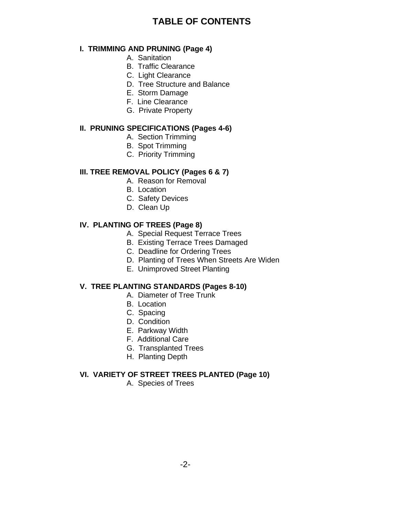## **TABLE OF CONTENTS**

#### **I. TRIMMING AND PRUNING (Page 4)**

- A. Sanitation
- B. Traffic Clearance
- C. Light Clearance
- D. Tree Structure and Balance
- E. Storm Damage
- F. Line Clearance
- G. Private Property

#### **II. PRUNING SPECIFICATIONS (Pages 4-6)**

- A. Section Trimming
- B. Spot Trimming
- C. Priority Trimming

## **III. TREE REMOVAL POLICY (Pages 6 & 7)**

- A. Reason for Removal
- B. Location
- C. Safety Devices
- D. Clean Up

## **IV. PLANTING OF TREES (Page 8)**

- A. Special Request Terrace Trees
- B. Existing Terrace Trees Damaged
- C. Deadline for Ordering Trees
- D. Planting of Trees When Streets Are Widen
- E. Unimproved Street Planting

## **V. TREE PLANTING STANDARDS (Pages 8-10)**

- A. Diameter of Tree Trunk
- B. Location
- C. Spacing
- D. Condition
- E. Parkway Width
- F. Additional Care
- G. Transplanted Trees
- H. Planting Depth

## **VI. VARIETY OF STREET TREES PLANTED (Page 10)**

A. Species of Trees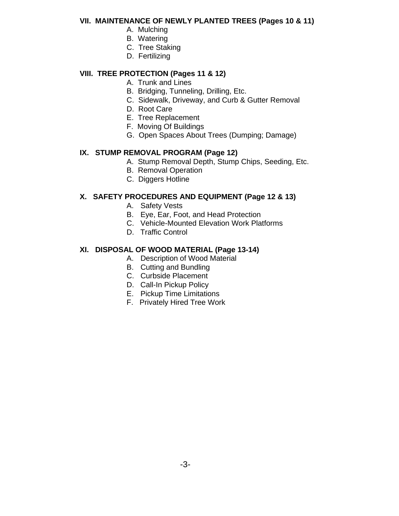#### **VII. MAINTENANCE OF NEWLY PLANTED TREES (Pages 10 & 11)**

- A. Mulching
	- B. Watering
	- C. Tree Staking
	- D. Fertilizing

## **VIII. TREE PROTECTION (Pages 11 & 12)**

- A. Trunk and Lines
- B. Bridging, Tunneling, Drilling, Etc.
- C. Sidewalk, Driveway, and Curb & Gutter Removal
- D. Root Care
- E. Tree Replacement
- F. Moving Of Buildings
- G. Open Spaces About Trees (Dumping; Damage)

## **IX. STUMP REMOVAL PROGRAM (Page 12)**

- A. Stump Removal Depth, Stump Chips, Seeding, Etc.
- B. Removal Operation
- C. Diggers Hotline

## **X. SAFETY PROCEDURES AND EQUIPMENT (Page 12 & 13)**

- A. Safety Vests
- B. Eye, Ear, Foot, and Head Protection
- C. Vehicle-Mounted Elevation Work Platforms
- D. Traffic Control

## **XI. DISPOSAL OF WOOD MATERIAL (Page 13-14)**

- A. Description of Wood Material
- B. Cutting and Bundling
- C. Curbside Placement
- D. Call-In Pickup Policy
- E. Pickup Time Limitations
- F. Privately Hired Tree Work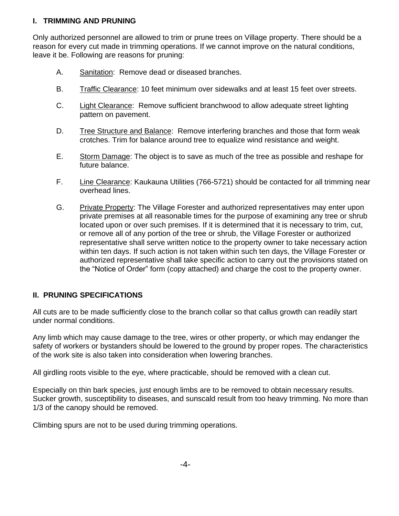## **I. TRIMMING AND PRUNING**

Only authorized personnel are allowed to trim or prune trees on Village property. There should be a reason for every cut made in trimming operations. If we cannot improve on the natural conditions, leave it be. Following are reasons for pruning:

- A. Sanitation: Remove dead or diseased branches.
- B. Traffic Clearance: 10 feet minimum over sidewalks and at least 15 feet over streets.
- C. Light Clearance: Remove sufficient branchwood to allow adequate street lighting pattern on pavement.
- D. Tree Structure and Balance: Remove interfering branches and those that form weak crotches. Trim for balance around tree to equalize wind resistance and weight.
- E. Storm Damage: The object is to save as much of the tree as possible and reshape for future balance.
- F. Line Clearance: Kaukauna Utilities (766-5721) should be contacted for all trimming near overhead lines.
- G. Private Property: The Village Forester and authorized representatives may enter upon private premises at all reasonable times for the purpose of examining any tree or shrub located upon or over such premises. If it is determined that it is necessary to trim, cut, or remove all of any portion of the tree or shrub, the Village Forester or authorized representative shall serve written notice to the property owner to take necessary action within ten days. If such action is not taken within such ten days, the Village Forester or authorized representative shall take specific action to carry out the provisions stated on the "Notice of Order" form (copy attached) and charge the cost to the property owner.

## **II. PRUNING SPECIFICATIONS**

All cuts are to be made sufficiently close to the branch collar so that callus growth can readily start under normal conditions.

Any limb which may cause damage to the tree, wires or other property, or which may endanger the safety of workers or bystanders should be lowered to the ground by proper ropes. The characteristics of the work site is also taken into consideration when lowering branches.

All girdling roots visible to the eye, where practicable, should be removed with a clean cut.

Especially on thin bark species, just enough limbs are to be removed to obtain necessary results. Sucker growth, susceptibility to diseases, and sunscald result from too heavy trimming. No more than 1/3 of the canopy should be removed.

Climbing spurs are not to be used during trimming operations.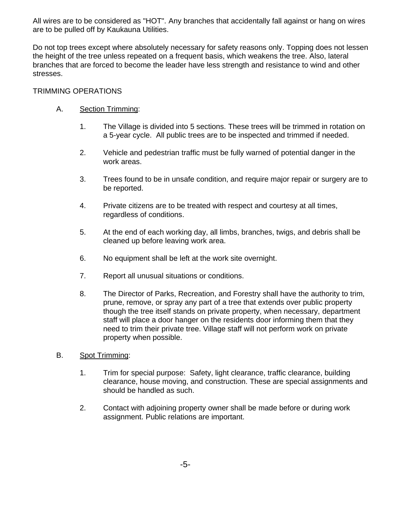All wires are to be considered as "HOT". Any branches that accidentally fall against or hang on wires are to be pulled off by Kaukauna Utilities.

Do not top trees except where absolutely necessary for safety reasons only. Topping does not lessen the height of the tree unless repeated on a frequent basis, which weakens the tree. Also, lateral branches that are forced to become the leader have less strength and resistance to wind and other stresses.

## TRIMMING OPERATIONS

## A. Section Trimming:

- 1. The Village is divided into 5 sections. These trees will be trimmed in rotation on a 5-year cycle. All public trees are to be inspected and trimmed if needed.
- 2. Vehicle and pedestrian traffic must be fully warned of potential danger in the work areas.
- 3. Trees found to be in unsafe condition, and require major repair or surgery are to be reported.
- 4. Private citizens are to be treated with respect and courtesy at all times, regardless of conditions.
- 5. At the end of each working day, all limbs, branches, twigs, and debris shall be cleaned up before leaving work area.
- 6. No equipment shall be left at the work site overnight.
- 7. Report all unusual situations or conditions.
- 8. The Director of Parks, Recreation, and Forestry shall have the authority to trim, prune, remove, or spray any part of a tree that extends over public property though the tree itself stands on private property, when necessary, department staff will place a door hanger on the residents door informing them that they need to trim their private tree. Village staff will not perform work on private property when possible.
- B. Spot Trimming:
	- 1. Trim for special purpose: Safety, light clearance, traffic clearance, building clearance, house moving, and construction. These are special assignments and should be handled as such.
	- 2. Contact with adjoining property owner shall be made before or during work assignment. Public relations are important.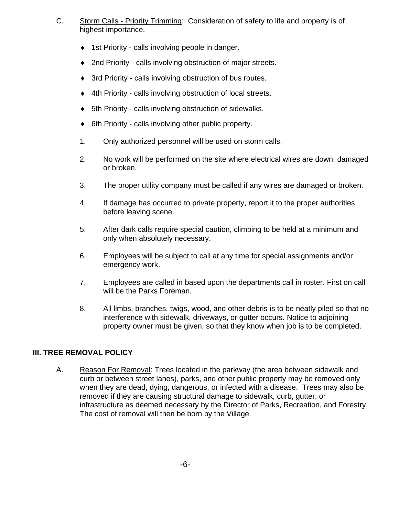- C. Storm Calls Priority Trimming: Consideration of safety to life and property is of highest importance.
	- ◆ 1st Priority calls involving people in danger.
	- ◆ 2nd Priority calls involving obstruction of major streets.
	- 3rd Priority calls involving obstruction of bus routes.
	- ◆ 4th Priority calls involving obstruction of local streets.
	- 5th Priority calls involving obstruction of sidewalks.
	- ◆ 6th Priority calls involving other public property.
	- 1. Only authorized personnel will be used on storm calls.
	- 2. No work will be performed on the site where electrical wires are down, damaged or broken.
	- 3. The proper utility company must be called if any wires are damaged or broken.
	- 4. If damage has occurred to private property, report it to the proper authorities before leaving scene.
	- 5. After dark calls require special caution, climbing to be held at a minimum and only when absolutely necessary.
	- 6. Employees will be subject to call at any time for special assignments and/or emergency work.
	- 7. Employees are called in based upon the departments call in roster. First on call will be the Parks Foreman.
	- 8. All limbs, branches, twigs, wood, and other debris is to be neatly piled so that no interference with sidewalk, driveways, or gutter occurs. Notice to adjoining property owner must be given, so that they know when job is to be completed.

## **III. TREE REMOVAL POLICY**

A. Reason For Removal: Trees located in the parkway (the area between sidewalk and curb or between street lanes), parks, and other public property may be removed only when they are dead, dying, dangerous, or infected with a disease. Trees may also be removed if they are causing structural damage to sidewalk, curb, gutter, or infrastructure as deemed necessary by the Director of Parks, Recreation, and Forestry. The cost of removal will then be born by the Village.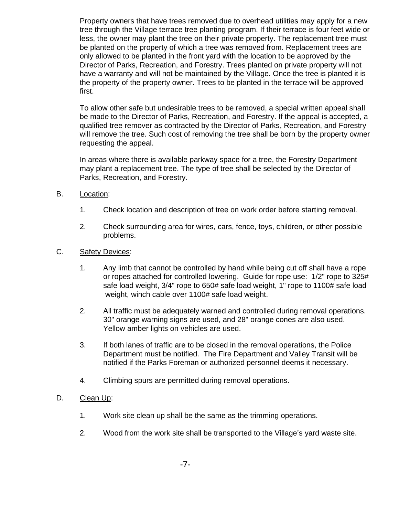Property owners that have trees removed due to overhead utilities may apply for a new tree through the Village terrace tree planting program. If their terrace is four feet wide or less, the owner may plant the tree on their private property. The replacement tree must be planted on the property of which a tree was removed from. Replacement trees are only allowed to be planted in the front yard with the location to be approved by the Director of Parks, Recreation, and Forestry. Trees planted on private property will not have a warranty and will not be maintained by the Village. Once the tree is planted it is the property of the property owner. Trees to be planted in the terrace will be approved first.

To allow other safe but undesirable trees to be removed, a special written appeal shall be made to the Director of Parks, Recreation, and Forestry. If the appeal is accepted, a qualified tree remover as contracted by the Director of Parks, Recreation, and Forestry will remove the tree. Such cost of removing the tree shall be born by the property owner requesting the appeal.

In areas where there is available parkway space for a tree, the Forestry Department may plant a replacement tree. The type of tree shall be selected by the Director of Parks, Recreation, and Forestry.

- B. Location:
	- 1. Check location and description of tree on work order before starting removal.
	- 2. Check surrounding area for wires, cars, fence, toys, children, or other possible problems.
- C. Safety Devices:
	- 1. Any limb that cannot be controlled by hand while being cut off shall have a rope or ropes attached for controlled lowering. Guide for rope use: 1/2" rope to 325# safe load weight, 3/4" rope to 650# safe load weight, 1" rope to 1100# safe load weight, winch cable over 1100# safe load weight.
	- 2. All traffic must be adequately warned and controlled during removal operations. 30" orange warning signs are used, and 28" orange cones are also used. Yellow amber lights on vehicles are used.
	- 3. If both lanes of traffic are to be closed in the removal operations, the Police Department must be notified. The Fire Department and Valley Transit will be notified if the Parks Foreman or authorized personnel deems it necessary.
	- 4. Climbing spurs are permitted during removal operations.
- D. Clean Up:
	- 1. Work site clean up shall be the same as the trimming operations.
	- 2. Wood from the work site shall be transported to the Village's yard waste site.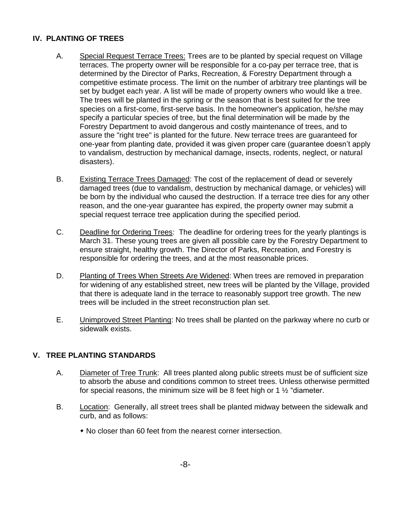### **IV. PLANTING OF TREES**

- A. Special Request Terrace Trees: Trees are to be planted by special request on Village terraces. The property owner will be responsible for a co-pay per terrace tree, that is determined by the Director of Parks, Recreation, & Forestry Department through a competitive estimate process. The limit on the number of arbitrary tree plantings will be set by budget each year. A list will be made of property owners who would like a tree. The trees will be planted in the spring or the season that is best suited for the tree species on a first-come, first-serve basis. In the homeowner's application, he/she may specify a particular species of tree, but the final determination will be made by the Forestry Department to avoid dangerous and costly maintenance of trees, and to assure the "right tree" is planted for the future. New terrace trees are guaranteed for one-year from planting date, provided it was given proper care (guarantee doesn't apply to vandalism, destruction by mechanical damage, insects, rodents, neglect, or natural disasters).
- B. Existing Terrace Trees Damaged: The cost of the replacement of dead or severely damaged trees (due to vandalism, destruction by mechanical damage, or vehicles) will be born by the individual who caused the destruction. If a terrace tree dies for any other reason, and the one-year guarantee has expired, the property owner may submit a special request terrace tree application during the specified period.
- C. Deadline for Ordering Trees: The deadline for ordering trees for the yearly plantings is March 31. These young trees are given all possible care by the Forestry Department to ensure straight, healthy growth. The Director of Parks, Recreation, and Forestry is responsible for ordering the trees, and at the most reasonable prices.
- D. Planting of Trees When Streets Are Widened: When trees are removed in preparation for widening of any established street, new trees will be planted by the Village, provided that there is adequate land in the terrace to reasonably support tree growth. The new trees will be included in the street reconstruction plan set.
- E. Unimproved Street Planting: No trees shall be planted on the parkway where no curb or sidewalk exists.

## **V. TREE PLANTING STANDARDS**

- A. Diameter of Tree Trunk: All trees planted along public streets must be of sufficient size to absorb the abuse and conditions common to street trees. Unless otherwise permitted for special reasons, the minimum size will be 8 feet high or 1 ½ "diameter.
- B. Location: Generally, all street trees shall be planted midway between the sidewalk and curb, and as follows:
	- No closer than 60 feet from the nearest corner intersection.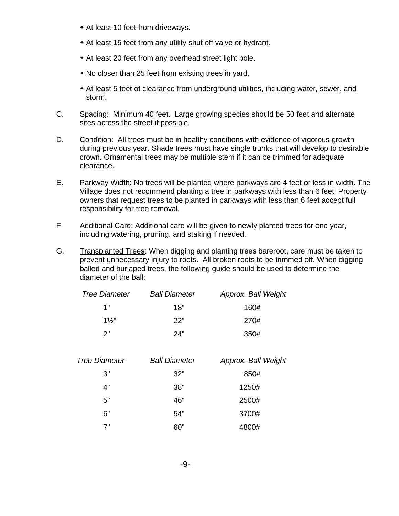- At least 10 feet from driveways.
- At least 15 feet from any utility shut off valve or hydrant.
- At least 20 feet from any overhead street light pole.
- No closer than 25 feet from existing trees in yard.
- At least 5 feet of clearance from underground utilities, including water, sewer, and storm.
- C. Spacing: Minimum 40 feet. Large growing species should be 50 feet and alternate sites across the street if possible.
- D. Condition: All trees must be in healthy conditions with evidence of vigorous growth during previous year. Shade trees must have single trunks that will develop to desirable crown. Ornamental trees may be multiple stem if it can be trimmed for adequate clearance.
- E. Parkway Width: No trees will be planted where parkways are 4 feet or less in width. The Village does not recommend planting a tree in parkways with less than 6 feet. Property owners that request trees to be planted in parkways with less than 6 feet accept full responsibility for tree removal.
- F. Additional Care: Additional care will be given to newly planted trees for one year, including watering, pruning, and staking if needed.
- G. Transplanted Trees: When digging and planting trees bareroot, care must be taken to prevent unnecessary injury to roots. All broken roots to be trimmed off. When digging balled and burlaped trees, the following guide should be used to determine the diameter of the ball:

| <b>Tree Diameter</b> | <b>Ball Diameter</b> | Approx. Ball Weight |
|----------------------|----------------------|---------------------|
| 1"                   | 18"                  | 160#                |
| $1\frac{1}{2}$       | 22"                  | 270#                |
| つ"                   | 24"                  | 350#                |

| <b>Tree Diameter</b> | <b>Ball Diameter</b> | Approx. Ball Weight |
|----------------------|----------------------|---------------------|
| 3"                   | 32"                  | 850#                |
| 4"                   | 38"                  | 1250#               |
| 5"                   | 46"                  | 2500#               |
| 6"                   | 54"                  | 3700#               |
| 7"                   | 60"                  | 4800#               |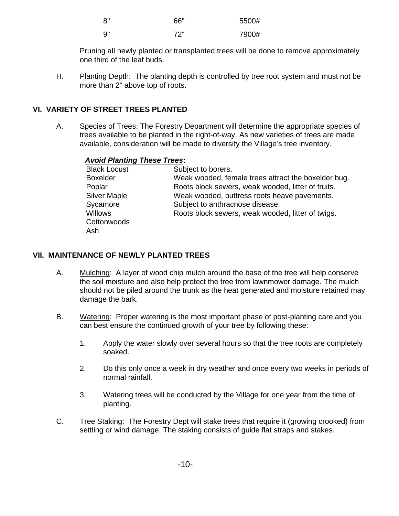| 8" | 66" | 5500# |
|----|-----|-------|
| 9" | 72" | 7900# |

Pruning all newly planted or transplanted trees will be done to remove approximately one third of the leaf buds.

H. Planting Depth: The planting depth is controlled by tree root system and must not be more than 2" above top of roots.

## **VI. VARIETY OF STREET TREES PLANTED**

A. Species of Trees: The Forestry Department will determine the appropriate species of trees available to be planted in the right-of-way. As new varieties of trees are made available, consideration will be made to diversify the Village's tree inventory.

## *Avoid Planting These Trees***:**

| <b>Black Locust</b> | Subject to borers.                                  |
|---------------------|-----------------------------------------------------|
| <b>Boxelder</b>     | Weak wooded, female trees attract the boxelder bug. |
| Poplar              | Roots block sewers, weak wooded, litter of fruits.  |
| <b>Silver Maple</b> | Weak wooded, buttress roots heave pavements.        |
| Sycamore            | Subject to anthracnose disease.                     |
| <b>Willows</b>      | Roots block sewers, weak wooded, litter of twigs.   |
| Cottonwoods         |                                                     |
| Ash                 |                                                     |

## **VII. MAINTENANCE OF NEWLY PLANTED TREES**

- A. Mulching: A layer of wood chip mulch around the base of the tree will help conserve the soil moisture and also help protect the tree from lawnmower damage. The mulch should not be piled around the trunk as the heat generated and moisture retained may damage the bark.
- B. Watering: Proper watering is the most important phase of post-planting care and you can best ensure the continued growth of your tree by following these:
	- 1. Apply the water slowly over several hours so that the tree roots are completely soaked.
	- 2. Do this only once a week in dry weather and once every two weeks in periods of normal rainfall.
	- 3. Watering trees will be conducted by the Village for one year from the time of planting.
- C. Tree Staking: The Forestry Dept will stake trees that require it (growing crooked) from settling or wind damage. The staking consists of guide flat straps and stakes.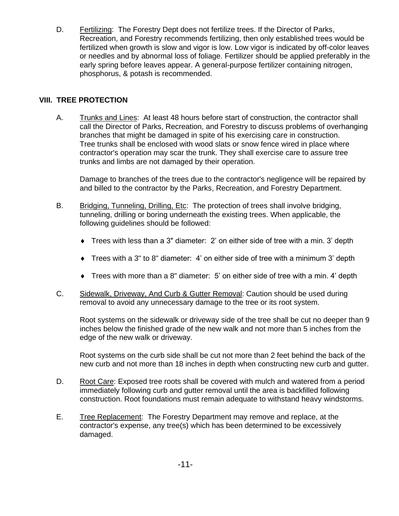D. Fertilizing: The Forestry Dept does not fertilize trees. If the Director of Parks, Recreation, and Forestry recommends fertilizing, then only established trees would be fertilized when growth is slow and vigor is low. Low vigor is indicated by off-color leaves or needles and by abnormal loss of foliage. Fertilizer should be applied preferably in the early spring before leaves appear. A general-purpose fertilizer containing nitrogen, phosphorus, & potash is recommended.

## **VIII. TREE PROTECTION**

A. Trunks and Lines: At least 48 hours before start of construction, the contractor shall call the Director of Parks, Recreation, and Forestry to discuss problems of overhanging branches that might be damaged in spite of his exercising care in construction. Tree trunks shall be enclosed with wood slats or snow fence wired in place where contractor's operation may scar the trunk. They shall exercise care to assure tree trunks and limbs are not damaged by their operation.

Damage to branches of the trees due to the contractor's negligence will be repaired by and billed to the contractor by the Parks, Recreation, and Forestry Department.

- B. Bridging, Tunneling, Drilling, Etc: The protection of trees shall involve bridging, tunneling, drilling or boring underneath the existing trees. When applicable, the following guidelines should be followed:
	- Trees with less than a 3" diameter: 2' on either side of tree with a min. 3' depth
	- Trees with a 3" to 8" diameter: 4' on either side of tree with a minimum 3' depth
	- Trees with more than a 8" diameter: 5' on either side of tree with a min. 4' depth
- C. Sidewalk, Driveway, And Curb & Gutter Removal: Caution should be used during removal to avoid any unnecessary damage to the tree or its root system.

Root systems on the sidewalk or driveway side of the tree shall be cut no deeper than 9 inches below the finished grade of the new walk and not more than 5 inches from the edge of the new walk or driveway.

Root systems on the curb side shall be cut not more than 2 feet behind the back of the new curb and not more than 18 inches in depth when constructing new curb and gutter.

- D. Root Care: Exposed tree roots shall be covered with mulch and watered from a period immediately following curb and gutter removal until the area is backfilled following construction. Root foundations must remain adequate to withstand heavy windstorms.
- E. Tree Replacement: The Forestry Department may remove and replace, at the contractor's expense, any tree(s) which has been determined to be excessively damaged.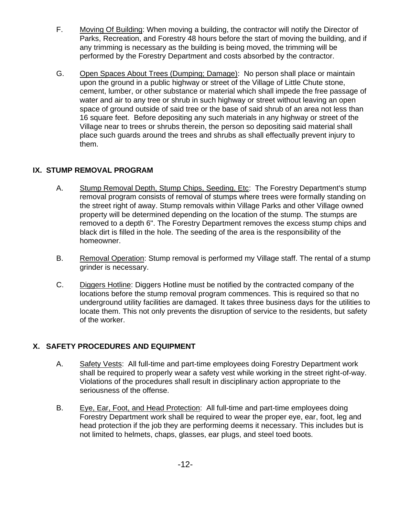- F. Moving Of Building: When moving a building, the contractor will notify the Director of Parks, Recreation, and Forestry 48 hours before the start of moving the building, and if any trimming is necessary as the building is being moved, the trimming will be performed by the Forestry Department and costs absorbed by the contractor.
- G. Open Spaces About Trees (Dumping; Damage): No person shall place or maintain upon the ground in a public highway or street of the Village of Little Chute stone, cement, lumber, or other substance or material which shall impede the free passage of water and air to any tree or shrub in such highway or street without leaving an open space of ground outside of said tree or the base of said shrub of an area not less than 16 square feet. Before depositing any such materials in any highway or street of the Village near to trees or shrubs therein, the person so depositing said material shall place such guards around the trees and shrubs as shall effectually prevent injury to them.

## **IX. STUMP REMOVAL PROGRAM**

- A. Stump Removal Depth, Stump Chips, Seeding, Etc: The Forestry Department's stump removal program consists of removal of stumps where trees were formally standing on the street right of away. Stump removals within Village Parks and other Village owned property will be determined depending on the location of the stump. The stumps are removed to a depth 6". The Forestry Department removes the excess stump chips and black dirt is filled in the hole. The seeding of the area is the responsibility of the homeowner.
- B. Removal Operation: Stump removal is performed my Village staff. The rental of a stump grinder is necessary.
- C. Diggers Hotline: Diggers Hotline must be notified by the contracted company of the locations before the stump removal program commences. This is required so that no underground utility facilities are damaged. It takes three business days for the utilities to locate them. This not only prevents the disruption of service to the residents, but safety of the worker.

## **X. SAFETY PROCEDURES AND EQUIPMENT**

- A. Safety Vests: All full-time and part-time employees doing Forestry Department work shall be required to properly wear a safety vest while working in the street right-of-way. Violations of the procedures shall result in disciplinary action appropriate to the seriousness of the offense.
- B. Eye, Ear, Foot, and Head Protection: All full-time and part-time employees doing Forestry Department work shall be required to wear the proper eye, ear, foot, leg and head protection if the job they are performing deems it necessary. This includes but is not limited to helmets, chaps, glasses, ear plugs, and steel toed boots.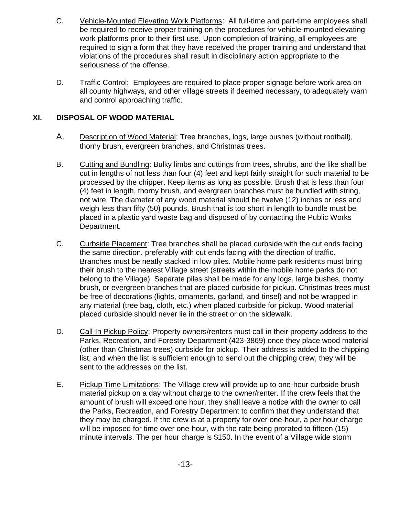- C. Vehicle-Mounted Elevating Work Platforms: All full-time and part-time employees shall be required to receive proper training on the procedures for vehicle-mounted elevating work platforms prior to their first use. Upon completion of training, all employees are required to sign a form that they have received the proper training and understand that violations of the procedures shall result in disciplinary action appropriate to the seriousness of the offense.
- D. Traffic Control: Employees are required to place proper signage before work area on all county highways, and other village streets if deemed necessary, to adequately warn and control approaching traffic.

## **XI. DISPOSAL OF WOOD MATERIAL**

- A. Description of Wood Material: Tree branches, logs, large bushes (without rootball), thorny brush, evergreen branches, and Christmas trees.
- B. Cutting and Bundling: Bulky limbs and cuttings from trees, shrubs, and the like shall be cut in lengths of not less than four (4) feet and kept fairly straight for such material to be processed by the chipper. Keep items as long as possible. Brush that is less than four (4) feet in length, thorny brush, and evergreen branches must be bundled with string, not wire. The diameter of any wood material should be twelve (12) inches or less and weigh less than fifty (50) pounds. Brush that is too short in length to bundle must be placed in a plastic yard waste bag and disposed of by contacting the Public Works Department.
- C. Curbside Placement: Tree branches shall be placed curbside with the cut ends facing the same direction, preferably with cut ends facing with the direction of traffic. Branches must be neatly stacked in low piles. Mobile home park residents must bring their brush to the nearest Village street (streets within the mobile home parks do not belong to the Village). Separate piles shall be made for any logs, large bushes, thorny brush, or evergreen branches that are placed curbside for pickup. Christmas trees must be free of decorations (lights, ornaments, garland, and tinsel) and not be wrapped in any material (tree bag, cloth, etc.) when placed curbside for pickup. Wood material placed curbside should never lie in the street or on the sidewalk.
- D. Call-In Pickup Policy: Property owners/renters must call in their property address to the Parks, Recreation, and Forestry Department (423-3869) once they place wood material (other than Christmas trees) curbside for pickup. Their address is added to the chipping list, and when the list is sufficient enough to send out the chipping crew, they will be sent to the addresses on the list.
- E. Pickup Time Limitations: The Village crew will provide up to one-hour curbside brush material pickup on a day without charge to the owner/renter. If the crew feels that the amount of brush will exceed one hour, they shall leave a notice with the owner to call the Parks, Recreation, and Forestry Department to confirm that they understand that they may be charged. If the crew is at a property for over one-hour, a per hour charge will be imposed for time over one-hour, with the rate being prorated to fifteen (15) minute intervals. The per hour charge is \$150. In the event of a Village wide storm